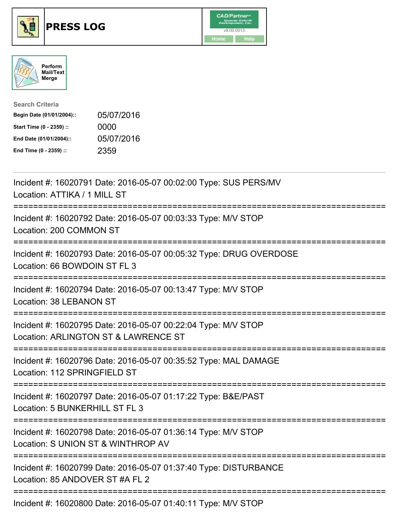





| <b>Search Criteria</b>    |            |
|---------------------------|------------|
| Begin Date (01/01/2004):: | 05/07/2016 |
| Start Time (0 - 2359) ::  | 0000       |
| End Date (01/01/2004)::   | 05/07/2016 |
| End Time (0 - 2359) ::    | 2359       |

| Incident #: 16020791 Date: 2016-05-07 00:02:00 Type: SUS PERS/MV<br>Location: ATTIKA / 1 MILL ST               |
|----------------------------------------------------------------------------------------------------------------|
| Incident #: 16020792 Date: 2016-05-07 00:03:33 Type: M/V STOP<br>Location: 200 COMMON ST<br>================== |
| Incident #: 16020793 Date: 2016-05-07 00:05:32 Type: DRUG OVERDOSE<br>Location: 66 BOWDOIN ST FL 3             |
| Incident #: 16020794 Date: 2016-05-07 00:13:47 Type: M/V STOP<br><b>Location: 38 LEBANON ST</b>                |
| Incident #: 16020795 Date: 2016-05-07 00:22:04 Type: M/V STOP<br>Location: ARLINGTON ST & LAWRENCE ST          |
| Incident #: 16020796 Date: 2016-05-07 00:35:52 Type: MAL DAMAGE<br>Location: 112 SPRINGFIELD ST                |
| Incident #: 16020797 Date: 2016-05-07 01:17:22 Type: B&E/PAST<br>Location: 5 BUNKERHILL ST FL 3                |
| Incident #: 16020798 Date: 2016-05-07 01:36:14 Type: M/V STOP<br>Location: S UNION ST & WINTHROP AV            |
| Incident #: 16020799 Date: 2016-05-07 01:37:40 Type: DISTURBANCE<br>Location: 85 ANDOVER ST #A FL 2            |
| $\frac{1}{2}$                                                                                                  |

Incident #: 16020800 Date: 2016-05-07 01:40:11 Type: M/V STOP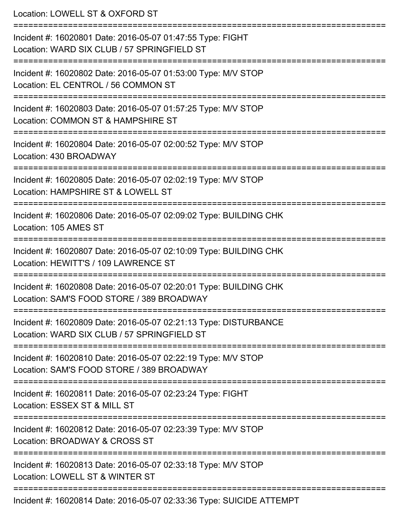Location: LOWELL ST & OXFORD ST =========================================================================== Incident #: 16020801 Date: 2016-05-07 01:47:55 Type: FIGHT Location: WARD SIX CLUB / 57 SPRINGFIELD ST =========================================================================== Incident #: 16020802 Date: 2016-05-07 01:53:00 Type: M/V STOP Location: EL CENTROL / 56 COMMON ST =========================================================================== Incident #: 16020803 Date: 2016-05-07 01:57:25 Type: M/V STOP Location: COMMON ST & HAMPSHIRE ST =========================================================================== Incident #: 16020804 Date: 2016-05-07 02:00:52 Type: M/V STOP Location: 430 BROADWAY =========================================================================== Incident #: 16020805 Date: 2016-05-07 02:02:19 Type: M/V STOP Location: HAMPSHIRE ST & LOWELL ST =========================================================================== Incident #: 16020806 Date: 2016-05-07 02:09:02 Type: BUILDING CHK Location: 105 AMES ST =========================================================================== Incident #: 16020807 Date: 2016-05-07 02:10:09 Type: BUILDING CHK Location: HEWITT'S / 109 LAWRENCE ST =========================================================================== Incident #: 16020808 Date: 2016-05-07 02:20:01 Type: BUILDING CHK Location: SAM'S FOOD STORE / 389 BROADWAY =========================================================================== Incident #: 16020809 Date: 2016-05-07 02:21:13 Type: DISTURBANCE Location: WARD SIX CLUB / 57 SPRINGFIELD ST =========================================================================== Incident #: 16020810 Date: 2016-05-07 02:22:19 Type: M/V STOP Location: SAM'S FOOD STORE / 389 BROADWAY =========================================================================== Incident #: 16020811 Date: 2016-05-07 02:23:24 Type: FIGHT Location: ESSEX ST & MILL ST =========================================================================== Incident #: 16020812 Date: 2016-05-07 02:23:39 Type: M/V STOP Location: BROADWAY & CROSS ST =========================================================================== Incident #: 16020813 Date: 2016-05-07 02:33:18 Type: M/V STOP Location: LOWELL ST & WINTER ST =========================================================================== Incident #: 16020814 Date: 2016-05-07 02:33:36 Type: SUICIDE ATTEMPT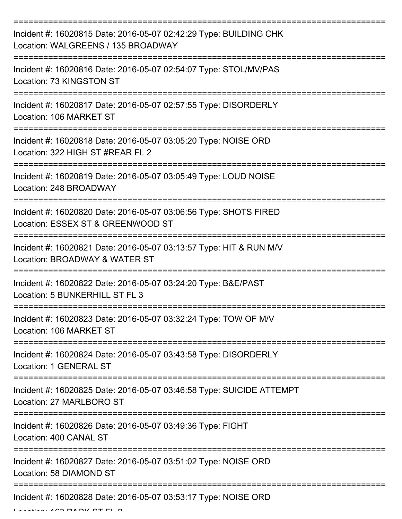| Incident #: 16020815 Date: 2016-05-07 02:42:29 Type: BUILDING CHK<br>Location: WALGREENS / 135 BROADWAY                     |
|-----------------------------------------------------------------------------------------------------------------------------|
| Incident #: 16020816 Date: 2016-05-07 02:54:07 Type: STOL/MV/PAS<br>Location: 73 KINGSTON ST                                |
| Incident #: 16020817 Date: 2016-05-07 02:57:55 Type: DISORDERLY<br>Location: 106 MARKET ST                                  |
| Incident #: 16020818 Date: 2016-05-07 03:05:20 Type: NOISE ORD<br>Location: 322 HIGH ST #REAR FL 2                          |
| Incident #: 16020819 Date: 2016-05-07 03:05:49 Type: LOUD NOISE<br>Location: 248 BROADWAY<br>------------------------------ |
| Incident #: 16020820 Date: 2016-05-07 03:06:56 Type: SHOTS FIRED<br>Location: ESSEX ST & GREENWOOD ST                       |
| Incident #: 16020821 Date: 2016-05-07 03:13:57 Type: HIT & RUN M/V<br>Location: BROADWAY & WATER ST                         |
| Incident #: 16020822 Date: 2016-05-07 03:24:20 Type: B&E/PAST<br>Location: 5 BUNKERHILL ST FL 3                             |
| Incident #: 16020823 Date: 2016-05-07 03:32:24 Type: TOW OF M/V<br>Location: 106 MARKET ST                                  |
| Incident #: 16020824 Date: 2016-05-07 03:43:58 Type: DISORDERLY<br>Location: 1 GENERAL ST                                   |
| Incident #: 16020825 Date: 2016-05-07 03:46:58 Type: SUICIDE ATTEMPT<br>Location: 27 MARLBORO ST                            |
| Incident #: 16020826 Date: 2016-05-07 03:49:36 Type: FIGHT<br>Location: 400 CANAL ST                                        |
| Incident #: 16020827 Date: 2016-05-07 03:51:02 Type: NOISE ORD<br>Location: 58 DIAMOND ST                                   |
| Incident #: 16020828 Date: 2016-05-07 03:53:17 Type: NOISE ORD                                                              |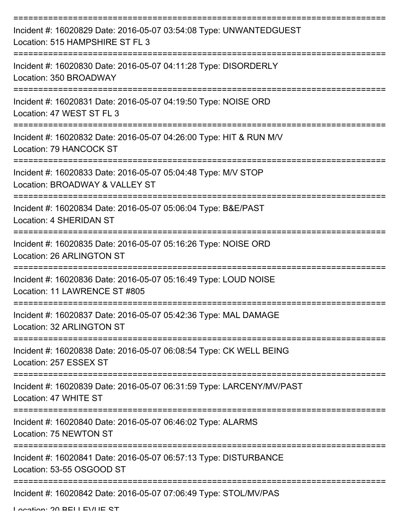| Incident #: 16020829 Date: 2016-05-07 03:54:08 Type: UNWANTEDGUEST<br>Location: 515 HAMPSHIRE ST FL 3                                                                 |
|-----------------------------------------------------------------------------------------------------------------------------------------------------------------------|
| Incident #: 16020830 Date: 2016-05-07 04:11:28 Type: DISORDERLY<br>Location: 350 BROADWAY                                                                             |
| Incident #: 16020831 Date: 2016-05-07 04:19:50 Type: NOISE ORD<br>Location: 47 WEST ST FL 3                                                                           |
| Incident #: 16020832 Date: 2016-05-07 04:26:00 Type: HIT & RUN M/V<br>Location: 79 HANCOCK ST                                                                         |
| Incident #: 16020833 Date: 2016-05-07 05:04:48 Type: M/V STOP<br>Location: BROADWAY & VALLEY ST                                                                       |
| :==============<br>Incident #: 16020834 Date: 2016-05-07 05:06:04 Type: B&E/PAST<br>Location: 4 SHERIDAN ST                                                           |
| Incident #: 16020835 Date: 2016-05-07 05:16:26 Type: NOISE ORD<br><b>Location: 26 ARLINGTON ST</b>                                                                    |
| Incident #: 16020836 Date: 2016-05-07 05:16:49 Type: LOUD NOISE<br>Location: 11 LAWRENCE ST #805                                                                      |
| Incident #: 16020837 Date: 2016-05-07 05:42:36 Type: MAL DAMAGE<br>Location: 32 ARLINGTON ST                                                                          |
| Incident #: 16020838 Date: 2016-05-07 06:08:54 Type: CK WELL BEING<br>Location: 257 ESSEX ST                                                                          |
| Incident #: 16020839 Date: 2016-05-07 06:31:59 Type: LARCENY/MV/PAST<br>Location: 47 WHITE ST                                                                         |
| ====================================<br>====================================<br>Incident #: 16020840 Date: 2016-05-07 06:46:02 Type: ALARMS<br>Location: 75 NEWTON ST |
| Incident #: 16020841 Date: 2016-05-07 06:57:13 Type: DISTURBANCE<br>Location: 53-55 OSGOOD ST                                                                         |
| Incident #: 16020842 Date: 2016-05-07 07:06:49 Type: STOL/MV/PAS                                                                                                      |

Location: 20 BELLEVUE ST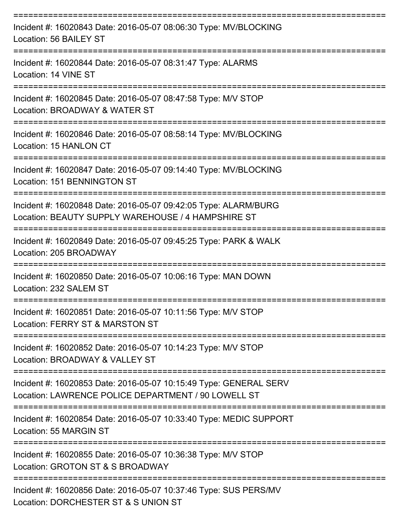| Incident #: 16020843 Date: 2016-05-07 08:06:30 Type: MV/BLOCKING<br>Location: 56 BAILEY ST                               |
|--------------------------------------------------------------------------------------------------------------------------|
| Incident #: 16020844 Date: 2016-05-07 08:31:47 Type: ALARMS<br>Location: 14 VINE ST                                      |
| Incident #: 16020845 Date: 2016-05-07 08:47:58 Type: M/V STOP<br>Location: BROADWAY & WATER ST                           |
| Incident #: 16020846 Date: 2016-05-07 08:58:14 Type: MV/BLOCKING<br>Location: 15 HANLON CT                               |
| Incident #: 16020847 Date: 2016-05-07 09:14:40 Type: MV/BLOCKING<br>Location: 151 BENNINGTON ST                          |
| Incident #: 16020848 Date: 2016-05-07 09:42:05 Type: ALARM/BURG<br>Location: BEAUTY SUPPLY WAREHOUSE / 4 HAMPSHIRE ST    |
| Incident #: 16020849 Date: 2016-05-07 09:45:25 Type: PARK & WALK<br>Location: 205 BROADWAY                               |
| Incident #: 16020850 Date: 2016-05-07 10:06:16 Type: MAN DOWN<br>Location: 232 SALEM ST                                  |
| Incident #: 16020851 Date: 2016-05-07 10:11:56 Type: M/V STOP<br>Location: FERRY ST & MARSTON ST                         |
| Incident #: 16020852 Date: 2016-05-07 10:14:23 Type: M/V STOP<br>Location: BROADWAY & VALLEY ST                          |
| Incident #: 16020853 Date: 2016-05-07 10:15:49 Type: GENERAL SERV<br>Location: LAWRENCE POLICE DEPARTMENT / 90 LOWELL ST |
| Incident #: 16020854 Date: 2016-05-07 10:33:40 Type: MEDIC SUPPORT<br>Location: 55 MARGIN ST                             |
| Incident #: 16020855 Date: 2016-05-07 10:36:38 Type: M/V STOP<br>Location: GROTON ST & S BROADWAY                        |
| Incident #: 16020856 Date: 2016-05-07 10:37:46 Type: SUS PERS/MV<br>Location: DORCHESTER ST & S UNION ST                 |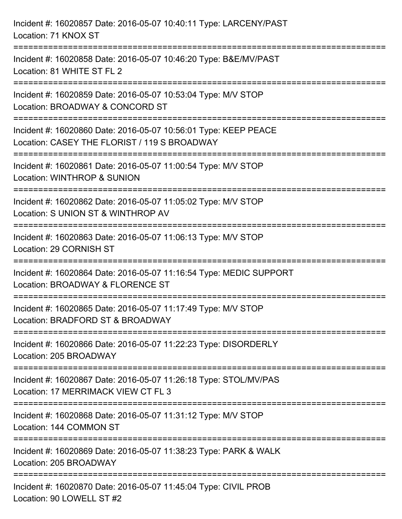| Incident #: 16020857 Date: 2016-05-07 10:40:11 Type: LARCENY/PAST<br>Location: 71 KNOX ST                                               |
|-----------------------------------------------------------------------------------------------------------------------------------------|
| Incident #: 16020858 Date: 2016-05-07 10:46:20 Type: B&E/MV/PAST<br>Location: 81 WHITE ST FL 2                                          |
| Incident #: 16020859 Date: 2016-05-07 10:53:04 Type: M/V STOP<br>Location: BROADWAY & CONCORD ST<br>:====================               |
| Incident #: 16020860 Date: 2016-05-07 10:56:01 Type: KEEP PEACE<br>Location: CASEY THE FLORIST / 119 S BROADWAY<br>:=================== |
| Incident #: 16020861 Date: 2016-05-07 11:00:54 Type: M/V STOP<br>Location: WINTHROP & SUNION<br>================================        |
| Incident #: 16020862 Date: 2016-05-07 11:05:02 Type: M/V STOP<br>Location: S UNION ST & WINTHROP AV                                     |
| Incident #: 16020863 Date: 2016-05-07 11:06:13 Type: M/V STOP<br>Location: 29 CORNISH ST                                                |
| Incident #: 16020864 Date: 2016-05-07 11:16:54 Type: MEDIC SUPPORT<br>Location: BROADWAY & FLORENCE ST                                  |
| Incident #: 16020865 Date: 2016-05-07 11:17:49 Type: M/V STOP<br>Location: BRADFORD ST & BROADWAY                                       |
| Incident #: 16020866 Date: 2016-05-07 11:22:23 Type: DISORDERLY<br>Location: 205 BROADWAY                                               |
| Incident #: 16020867 Date: 2016-05-07 11:26:18 Type: STOL/MV/PAS<br>Location: 17 MERRIMACK VIEW CT FL 3                                 |
| Incident #: 16020868 Date: 2016-05-07 11:31:12 Type: M/V STOP<br>Location: 144 COMMON ST                                                |
| Incident #: 16020869 Date: 2016-05-07 11:38:23 Type: PARK & WALK<br>Location: 205 BROADWAY                                              |
| Incident #: 16020870 Date: 2016-05-07 11:45:04 Type: CIVIL PROB<br>Location: 90 LOWELL ST #2                                            |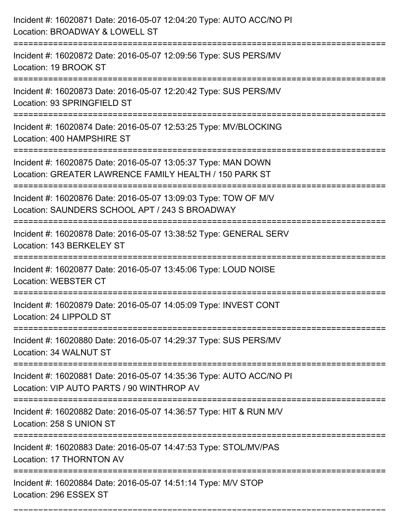| Incident #: 16020871 Date: 2016-05-07 12:04:20 Type: AUTO ACC/NO PI<br>Location: BROADWAY & LOWELL ST                                                       |
|-------------------------------------------------------------------------------------------------------------------------------------------------------------|
| Incident #: 16020872 Date: 2016-05-07 12:09:56 Type: SUS PERS/MV<br>Location: 19 BROOK ST                                                                   |
| Incident #: 16020873 Date: 2016-05-07 12:20:42 Type: SUS PERS/MV<br>Location: 93 SPRINGFIELD ST                                                             |
| Incident #: 16020874 Date: 2016-05-07 12:53:25 Type: MV/BLOCKING<br>Location: 400 HAMPSHIRE ST                                                              |
| Incident #: 16020875 Date: 2016-05-07 13:05:37 Type: MAN DOWN<br>Location: GREATER LAWRENCE FAMILY HEALTH / 150 PARK ST<br>================================ |
| Incident #: 16020876 Date: 2016-05-07 13:09:03 Type: TOW OF M/V<br>Location: SAUNDERS SCHOOL APT / 243 S BROADWAY                                           |
| Incident #: 16020878 Date: 2016-05-07 13:38:52 Type: GENERAL SERV<br>Location: 143 BERKELEY ST                                                              |
| Incident #: 16020877 Date: 2016-05-07 13:45:06 Type: LOUD NOISE<br>Location: WEBSTER CT                                                                     |
| Incident #: 16020879 Date: 2016-05-07 14:05:09 Type: INVEST CONT<br>Location: 24 LIPPOLD ST                                                                 |
| Incident #: 16020880 Date: 2016-05-07 14:29:37 Type: SUS PERS/MV<br>Location: 34 WALNUT ST                                                                  |
| Incident #: 16020881 Date: 2016-05-07 14:35:36 Type: AUTO ACC/NO PI<br>Location: VIP AUTO PARTS / 90 WINTHROP AV                                            |
| Incident #: 16020882 Date: 2016-05-07 14:36:57 Type: HIT & RUN M/V<br>Location: 258 S UNION ST                                                              |
| Incident #: 16020883 Date: 2016-05-07 14:47:53 Type: STOL/MV/PAS<br>Location: 17 THORNTON AV                                                                |
| -----------------------------------<br>Incident #: 16020884 Date: 2016-05-07 14:51:14 Type: M/V STOP<br>Location: 296 ESSEX ST                              |

===========================================================================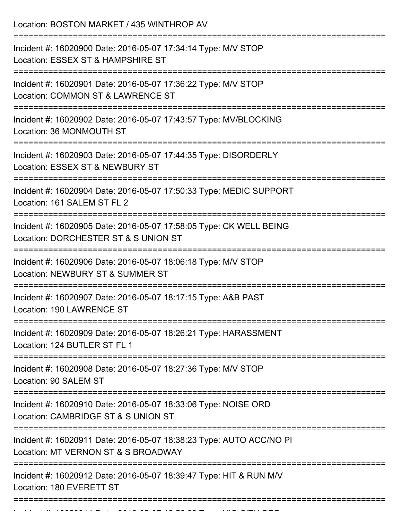Location: BOSTON MARKET / 435 WINTHROP AV =========================================================================== Incident #: 16020900 Date: 2016-05-07 17:34:14 Type: M/V STOP Location: ESSEX ST & HAMPSHIRE ST =========================================================================== Incident #: 16020901 Date: 2016-05-07 17:36:22 Type: M/V STOP Location: COMMON ST & LAWRENCE ST =========================================================================== Incident #: 16020902 Date: 2016-05-07 17:43:57 Type: MV/BLOCKING Location: 36 MONMOUTH ST =========================================================================== Incident #: 16020903 Date: 2016-05-07 17:44:35 Type: DISORDERLY Location: ESSEX ST & NEWBURY ST =========================================================================== Incident #: 16020904 Date: 2016-05-07 17:50:33 Type: MEDIC SUPPORT Location: 161 SALEM ST FL 2 =========================================================================== Incident #: 16020905 Date: 2016-05-07 17:58:05 Type: CK WELL BEING Location: DORCHESTER ST & S UNION ST =========================================================================== Incident #: 16020906 Date: 2016-05-07 18:06:18 Type: M/V STOP Location: NEWBURY ST & SUMMER ST =========================================================================== Incident #: 16020907 Date: 2016-05-07 18:17:15 Type: A&B PAST Location: 190 LAWRENCE ST =========================================================================== Incident #: 16020909 Date: 2016-05-07 18:26:21 Type: HARASSMENT Location: 124 BUTLER ST FL 1 =========================================================================== Incident #: 16020908 Date: 2016-05-07 18:27:36 Type: M/V STOP Location: 90 SALEM ST =========================================================================== Incident #: 16020910 Date: 2016-05-07 18:33:06 Type: NOISE ORD Location: CAMBRIDGE ST & S UNION ST =========================================================================== Incident #: 16020911 Date: 2016-05-07 18:38:23 Type: AUTO ACC/NO PI Location: MT VERNON ST & S BROADWAY =========================================================================== Incident #: 16020912 Date: 2016-05-07 18:39:47 Type: HIT & RUN M/V Location: 180 EVERETT ST ===========================================================================

Incident #: 16020914 Date: 2016 05 07 18:56:56:56:33 Type: VIO CITY ORD.<br>.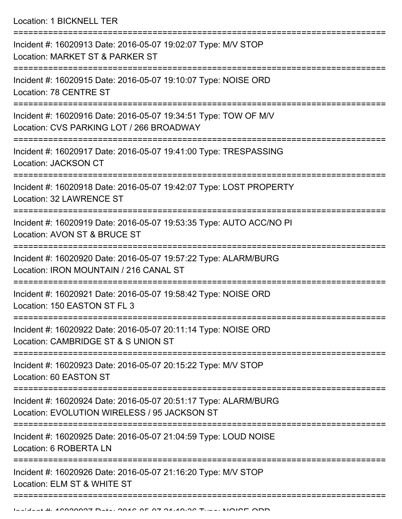Location: 1 BICKNELL TER

| Incident #: 16020913 Date: 2016-05-07 19:02:07 Type: M/V STOP<br>Location: MARKET ST & PARKER ST                |
|-----------------------------------------------------------------------------------------------------------------|
| Incident #: 16020915 Date: 2016-05-07 19:10:07 Type: NOISE ORD<br>Location: 78 CENTRE ST                        |
| Incident #: 16020916 Date: 2016-05-07 19:34:51 Type: TOW OF M/V<br>Location: CVS PARKING LOT / 266 BROADWAY     |
| Incident #: 16020917 Date: 2016-05-07 19:41:00 Type: TRESPASSING<br>Location: JACKSON CT                        |
| Incident #: 16020918 Date: 2016-05-07 19:42:07 Type: LOST PROPERTY<br><b>Location: 32 LAWRENCE ST</b>           |
| Incident #: 16020919 Date: 2016-05-07 19:53:35 Type: AUTO ACC/NO PI<br>Location: AVON ST & BRUCE ST             |
| Incident #: 16020920 Date: 2016-05-07 19:57:22 Type: ALARM/BURG<br>Location: IRON MOUNTAIN / 216 CANAL ST       |
| Incident #: 16020921 Date: 2016-05-07 19:58:42 Type: NOISE ORD<br>Location: 150 EASTON ST FL 3                  |
| Incident #: 16020922 Date: 2016-05-07 20:11:14 Type: NOISE ORD<br>Location: CAMBRIDGE ST & S UNION ST           |
| Incident #: 16020923 Date: 2016-05-07 20:15:22 Type: M/V STOP<br>Location: 60 EASTON ST                         |
| Incident #: 16020924 Date: 2016-05-07 20:51:17 Type: ALARM/BURG<br>Location: EVOLUTION WIRELESS / 95 JACKSON ST |
| Incident #: 16020925 Date: 2016-05-07 21:04:59 Type: LOUD NOISE<br>Location: 6 ROBERTA LN                       |
| Incident #: 16020926 Date: 2016-05-07 21:16:20 Type: M/V STOP<br>Location: ELM ST & WHITE ST                    |
|                                                                                                                 |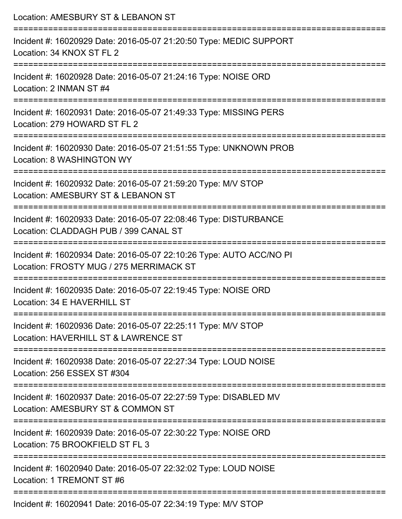| Location: AMESBURY ST & LEBANON ST                                                                                                            |
|-----------------------------------------------------------------------------------------------------------------------------------------------|
| Incident #: 16020929 Date: 2016-05-07 21:20:50 Type: MEDIC SUPPORT<br>Location: 34 KNOX ST FL 2                                               |
| Incident #: 16020928 Date: 2016-05-07 21:24:16 Type: NOISE ORD<br>Location: 2 INMAN ST #4                                                     |
| Incident #: 16020931 Date: 2016-05-07 21:49:33 Type: MISSING PERS<br>Location: 279 HOWARD ST FL 2                                             |
| :=====================================<br>Incident #: 16020930 Date: 2016-05-07 21:51:55 Type: UNKNOWN PROB<br>Location: 8 WASHINGTON WY      |
| Incident #: 16020932 Date: 2016-05-07 21:59:20 Type: M/V STOP<br>Location: AMESBURY ST & LEBANON ST<br>======================                 |
| Incident #: 16020933 Date: 2016-05-07 22:08:46 Type: DISTURBANCE<br>Location: CLADDAGH PUB / 399 CANAL ST                                     |
| Incident #: 16020934 Date: 2016-05-07 22:10:26 Type: AUTO ACC/NO PI<br>Location: FROSTY MUG / 275 MERRIMACK ST                                |
| Incident #: 16020935 Date: 2016-05-07 22:19:45 Type: NOISE ORD<br>Location: 34 E HAVERHILL ST                                                 |
| ===============================<br>Incident #: 16020936 Date: 2016-05-07 22:25:11 Type: M/V STOP<br>Location: HAVERHILL ST & LAWRENCE ST      |
| Incident #: 16020938 Date: 2016-05-07 22:27:34 Type: LOUD NOISE<br>Location: 256 ESSEX ST #304                                                |
| ====================================<br>Incident #: 16020937 Date: 2016-05-07 22:27:59 Type: DISABLED MV<br>Location: AMESBURY ST & COMMON ST |
| Incident #: 16020939 Date: 2016-05-07 22:30:22 Type: NOISE ORD<br>Location: 75 BROOKFIELD ST FL 3                                             |
| Incident #: 16020940 Date: 2016-05-07 22:32:02 Type: LOUD NOISE<br>Location: 1 TREMONT ST #6                                                  |
| $Incidont #: 16020041$ Data: 2016 05.07.22.10 Tupe: $MAY$ STOD                                                                                |

Incident #: 16020941 Date: 2016-05-07 22:34:19 Type: M/V STOP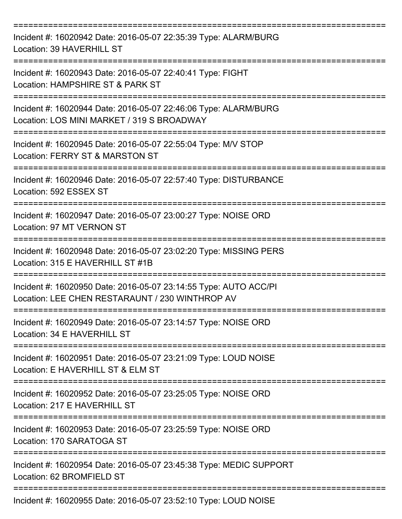| Incident #: 16020942 Date: 2016-05-07 22:35:39 Type: ALARM/BURG<br>Location: 39 HAVERHILL ST                        |
|---------------------------------------------------------------------------------------------------------------------|
| Incident #: 16020943 Date: 2016-05-07 22:40:41 Type: FIGHT<br>Location: HAMPSHIRE ST & PARK ST                      |
| Incident #: 16020944 Date: 2016-05-07 22:46:06 Type: ALARM/BURG<br>Location: LOS MINI MARKET / 319 S BROADWAY       |
| Incident #: 16020945 Date: 2016-05-07 22:55:04 Type: M/V STOP<br>Location: FERRY ST & MARSTON ST                    |
| Incident #: 16020946 Date: 2016-05-07 22:57:40 Type: DISTURBANCE<br>Location: 592 ESSEX ST                          |
| Incident #: 16020947 Date: 2016-05-07 23:00:27 Type: NOISE ORD<br>Location: 97 MT VERNON ST                         |
| Incident #: 16020948 Date: 2016-05-07 23:02:20 Type: MISSING PERS<br>Location: 315 E HAVERHILL ST #1B               |
| Incident #: 16020950 Date: 2016-05-07 23:14:55 Type: AUTO ACC/PI<br>Location: LEE CHEN RESTARAUNT / 230 WINTHROP AV |
| Incident #: 16020949 Date: 2016-05-07 23:14:57 Type: NOISE ORD<br>Location: 34 E HAVERHILL ST                       |
| Incident #: 16020951 Date: 2016-05-07 23:21:09 Type: LOUD NOISE<br>Location: E HAVERHILL ST & ELM ST                |
| Incident #: 16020952 Date: 2016-05-07 23:25:05 Type: NOISE ORD<br>Location: 217 E HAVERHILL ST                      |
| Incident #: 16020953 Date: 2016-05-07 23:25:59 Type: NOISE ORD<br>Location: 170 SARATOGA ST                         |
| Incident #: 16020954 Date: 2016-05-07 23:45:38 Type: MEDIC SUPPORT<br>Location: 62 BROMFIELD ST                     |
| Incident #: 16020955 Date: 2016-05-07 23:52:10 Type: LOUD NOISE                                                     |